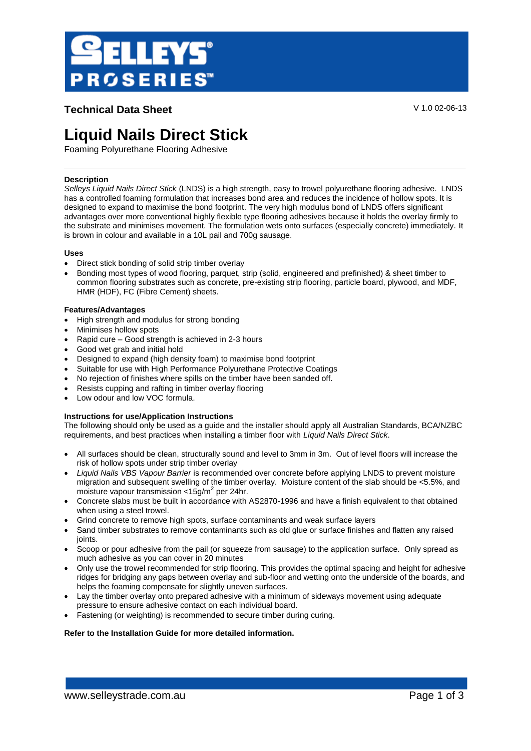

## **Technical Data Sheet** V 1.0 02-06-13

# **Liquid Nails Direct Stick**

Foaming Polyurethane Flooring Adhesive

## **Description**

*Selleys Liquid Nails Direct Stick* (LNDS) is a high strength, easy to trowel polyurethane flooring adhesive. LNDS has a controlled foaming formulation that increases bond area and reduces the incidence of hollow spots. It is designed to expand to maximise the bond footprint. The very high modulus bond of LNDS offers significant advantages over more conventional highly flexible type flooring adhesives because it holds the overlay firmly to the substrate and minimises movement. The formulation wets onto surfaces (especially concrete) immediately. It is brown in colour and available in a 10L pail and 700g sausage.

## **Uses**

- Direct stick bonding of solid strip timber overlay
- Bonding most types of wood flooring, parquet, strip (solid, engineered and prefinished) & sheet timber to common flooring substrates such as concrete, pre-existing strip flooring, particle board, plywood, and MDF, HMR (HDF), FC (Fibre Cement) sheets.

## **Features/Advantages**

- High strength and modulus for strong bonding
- Minimises hollow spots
- Rapid cure Good strength is achieved in 2-3 hours
- Good wet grab and initial hold
- Designed to expand (high density foam) to maximise bond footprint
- Suitable for use with High Performance Polyurethane Protective Coatings
- No rejection of finishes where spills on the timber have been sanded off.
- Resists cupping and rafting in timber overlay flooring
- Low odour and low VOC formula.

## **Instructions for use/Application Instructions**

The following should only be used as a guide and the installer should apply all Australian Standards, BCA/NZBC requirements, and best practices when installing a timber floor with *Liquid Nails Direct Stick*.

- All surfaces should be clean, structurally sound and level to 3mm in 3m. Out of level floors will increase the risk of hollow spots under strip timber overlay
- *Liquid Nails VBS Vapour Barrier* is recommended over concrete before applying LNDS to prevent moisture migration and subsequent swelling of the timber overlay. Moisture content of the slab should be <5.5%, and moisture vapour transmission < $15$ g/m<sup>2</sup> per 24hr.
- Concrete slabs must be built in accordance with AS2870-1996 and have a finish equivalent to that obtained when using a steel trowel.
- Grind concrete to remove high spots, surface contaminants and weak surface layers
- Sand timber substrates to remove contaminants such as old glue or surface finishes and flatten any raised joints.
- Scoop or pour adhesive from the pail (or squeeze from sausage) to the application surface. Only spread as much adhesive as you can cover in 20 minutes
- Only use the trowel recommended for strip flooring. This provides the optimal spacing and height for adhesive ridges for bridging any gaps between overlay and sub-floor and wetting onto the underside of the boards, and helps the foaming compensate for slightly uneven surfaces.
- Lay the timber overlay onto prepared adhesive with a minimum of sideways movement using adequate pressure to ensure adhesive contact on each individual board.
- Fastening (or weighting) is recommended to secure timber during curing.

## **Refer to the Installation Guide for more detailed information.**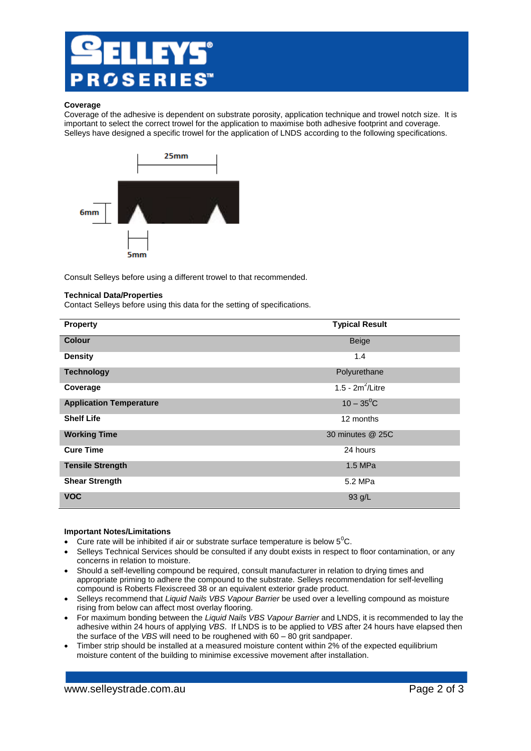

#### **Coverage**

Coverage of the adhesive is dependent on substrate porosity, application technique and trowel notch size. It is important to select the correct trowel for the application to maximise both adhesive footprint and coverage. Selleys have designed a specific trowel for the application of LNDS according to the following specifications.



Consult Selleys before using a different trowel to that recommended.

## **Technical Data/Properties**

Contact Selleys before using this data for the setting of specifications.

| <b>Property</b>                | <b>Typical Result</b> |
|--------------------------------|-----------------------|
| <b>Colour</b>                  | Beige                 |
| <b>Density</b>                 | 1.4                   |
| <b>Technology</b>              | Polyurethane          |
| Coverage                       | 1.5 - $2m^2$ /Litre   |
| <b>Application Temperature</b> | $10 - 35^{\circ}$ C   |
| <b>Shelf Life</b>              | 12 months             |
| <b>Working Time</b>            | 30 minutes @ 25C      |
| <b>Cure Time</b>               | 24 hours              |
| <b>Tensile Strength</b>        | 1.5 MPa               |
| <b>Shear Strength</b>          | 5.2 MPa               |
| <b>VOC</b>                     | 93 g/L                |

#### **Important Notes/Limitations**

- Cure rate will be inhibited if air or substrate surface temperature is below  $5^0C$ .
- Selleys Technical Services should be consulted if any doubt exists in respect to floor contamination, or any concerns in relation to moisture.
- Should a self-levelling compound be required, consult manufacturer in relation to drying times and appropriate priming to adhere the compound to the substrate. Selleys recommendation for self-levelling compound is Roberts Flexiscreed 38 or an equivalent exterior grade product.
- Selleys recommend that *Liquid Nails VBS Vapour Barrier* be used over a levelling compound as moisture rising from below can affect most overlay flooring.
- For maximum bonding between the *Liquid Nails VBS Vapour Barrier* and LNDS, it is recommended to lay the adhesive within 24 hours of applying *VBS*. If LNDS is to be applied to *VBS* after 24 hours have elapsed then the surface of the *VBS* will need to be roughened with 60 – 80 grit sandpaper.
- Timber strip should be installed at a measured moisture content within 2% of the expected equilibrium moisture content of the building to minimise excessive movement after installation.